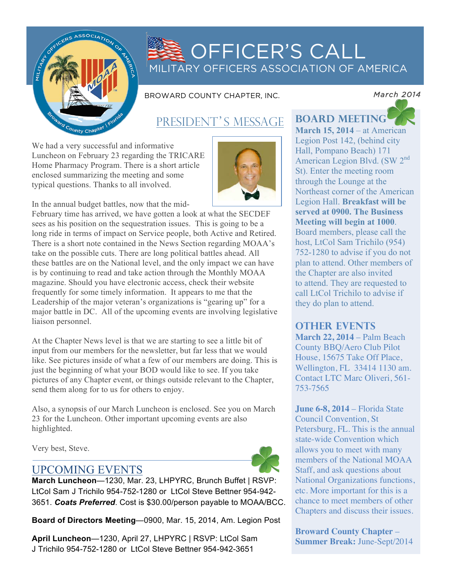

# OFFICER'S CALL MILITARY OFFICERS ASSOCIATION OF AMERICA

BROWARD COUNTY CHAPTER, INC.

## PRESIDENT'S MESSAGE

We had a very successful and informative Luncheon on February 23 regarding the TRICARE Home Pharmacy Program. There is a short article enclosed summarizing the meeting and some typical questions. Thanks to all involved.



In the annual budget battles, now that the mid-

February time has arrived, we have gotten a look at what the SECDEF sees as his position on the sequestration issues. This is going to be a long ride in terms of impact on Service people, both Active and Retired. There is a short note contained in the News Section regarding MOAA's take on the possible cuts. There are long political battles ahead. All these battles are on the National level, and the only impact we can have is by continuing to read and take action through the Monthly MOAA magazine. Should you have electronic access, check their website frequently for some timely information. It appears to me that the Leadership of the major veteran's organizations is "gearing up" for a major battle in DC. All of the upcoming events are involving legislative liaison personnel.

At the Chapter News level is that we are starting to see a little bit of input from our members for the newsletter, but far less that we would like. See pictures inside of what a few of our members are doing. This is just the beginning of what your BOD would like to see. If you take pictures of any Chapter event, or things outside relevant to the Chapter, send them along for to us for others to enjoy.

Also, a synopsis of our March Luncheon is enclosed. See you on March 23 for the Luncheon. Other important upcoming events are also highlighted.

Very best, Steve.

### UPCOMING EVENTS



**March Luncheon**—1230, Mar. 23, LHPYRC, Brunch Buffet | RSVP: LtCol Sam J Trichilo 954-752-1280 or LtCol Steve Bettner 954-942- 3651. *Coats Preferred*. Cost is \$30.00/person payable to MOAA/BCC.

**Board of Directors Meeting**—0900, Mar. 15, 2014, Am. Legion Post

**April Luncheon**—1230, April 27, LHPYRC | RSVP: LtCol Sam J Trichilo 954-752-1280 or LtCol Steve Bettner 954-942-3651

*March 2014* 

**board meeting March 15, 2014** – at American Legion Post 142, (behind city Hall, Pompano Beach) 171 American Legion Blvd. (SW 2<sup>nd</sup> St). Enter the meeting room through the Lounge at the Northeast corner of the American Legion Hall. **Breakfast will be served at 0900. The Business Meeting will begin at 1000**. Board members, please call the host, LtCol Sam Trichilo (954) 752-1280 to advise if you do not plan to attend. Other members of the Chapter are also invited to attend. They are requested to call LtCol Trichilo to advise if

### **other events**

they do plan to attend.

**March 22, 2014** – Palm Beach County BBQ/Aero Club Pilot House, 15675 Take Off Place, Wellington, FL 33414 1130 am. Contact LTC Marc Oliveri, 561- 753-7565

**June 6-8, 2014** – Florida State Council Convention, St Petersburg, FL. This is the annual state-wide Convention which allows you to meet with many members of the National MOAA Staff, and ask questions about National Organizations functions, etc. More important for this is a chance to meet members of other Chapters and discuss their issues.

**Broward County Chapter** – **Summer Break:** June-Sept/2014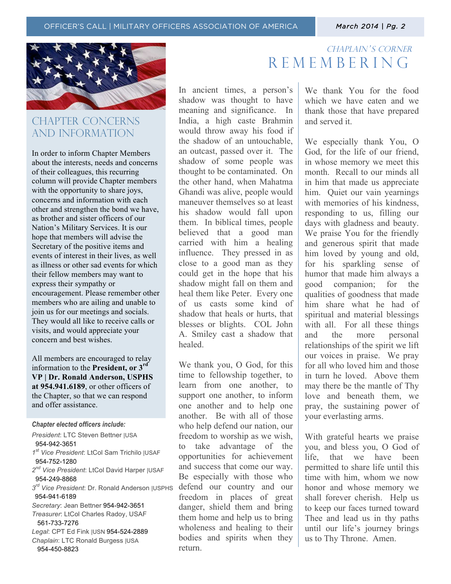

## CHAPTER CONCERNs AND INFORMATION

In order to inform Chapter Members about the interests, needs and concerns of their colleagues, this recurring column will provide Chapter members with the opportunity to share joys, concerns and information with each other and strengthen the bond we have, as brother and sister officers of our Nation's Military Services. It is our hope that members will advise the Secretary of the positive items and events of interest in their lives, as well as illness or other sad events for which their fellow members may want to express their sympathy or encouragement. Please remember other members who are ailing and unable to join us for our meetings and socials. They would all like to receive calls or visits, and would appreciate your concern and best wishes.

All members are encouraged to relay information to the **President, or 3rd VP | Dr. Ronald Anderson, USPHS at 954.941.6189**, or other officers of the Chapter, so that we can respond and offer assistance.

#### *Chapter elected officers include:*

*President*: LTC Steven Bettner |USA 954-942-3651 *1st Vice President*: LtCol Sam Trichilo |USAF 954-752-1280 *2nd Vice President*: LtCol David Harper |USAF 954-249-8868 *3rd Vice President*: Dr. Ronald Anderson |USPHS 954-941-6189 *Secretary*: Jean Bettner 954-942-3651 *Treasurer*: LtCol Charles Radoy, USAF 561-733-7276 *Legal*: CPT Ed Fink |USN 954-524-2889 *Chaplain*: LTC Ronald Burgess |USA 954-450-8823

## CHAPLAIN'S CORNER **REMEMBERING**

In ancient times, a person's shadow was thought to have meaning and significance. In India, a high caste Brahmin would throw away his food if the shadow of an untouchable, an outcast, passed over it. The shadow of some people was thought to be contaminated. On the other hand, when Mahatma Ghandi was alive, people would maneuver themselves so at least his shadow would fall upon them. In biblical times, people believed that a good man carried with him a healing influence. They pressed in as close to a good man as they could get in the hope that his shadow might fall on them and heal them like Peter. Every one of us casts some kind of shadow that heals or hurts, that blesses or blights. COL John A. Smiley cast a shadow that healed.

We thank you, O God, for this time to fellowship together, to learn from one another, to support one another, to inform one another and to help one another. Be with all of those who help defend our nation, our freedom to worship as we wish, to take advantage of the opportunities for achievement and success that come our way. Be especially with those who defend our country and our freedom in places of great danger, shield them and bring them home and help us to bring wholeness and healing to their bodies and spirits when they return.

We thank You for the food which we have eaten and we thank those that have prepared and served it.

We especially thank You, O God, for the life of our friend, in whose memory we meet this month. Recall to our minds all in him that made us appreciate him. Quiet our vain yearnings with memories of his kindness, responding to us, filling our days with gladness and beauty. We praise You for the friendly and generous spirit that made him loved by young and old, for his sparkling sense of humor that made him always a good companion; for the qualities of goodness that made him share what he had of spiritual and material blessings with all. For all these things and the more personal relationships of the spirit we lift our voices in praise. We pray for all who loved him and those in turn he loved. Above them may there be the mantle of Thy love and beneath them, we pray, the sustaining power of your everlasting arms.

With grateful hearts we praise you, and bless you, O God of life, that we have been permitted to share life until this time with him, whom we now honor and whose memory we shall forever cherish. Help us to keep our faces turned toward Thee and lead us in thy paths until our life's journey brings us to Thy Throne. Amen.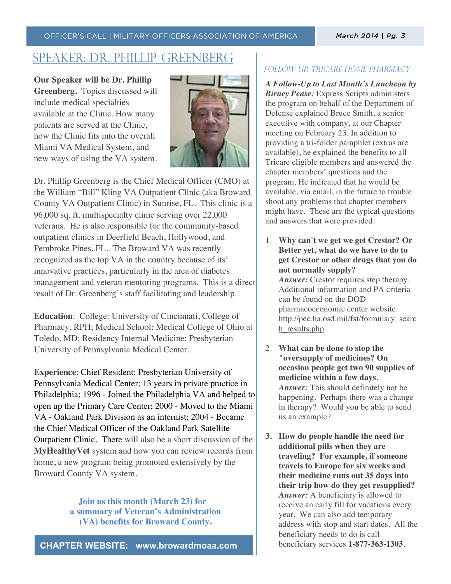#### OFFICER'S CALL | MILITARY OFFICERS ASSOCIATION OF AMERICA

## speaker: dr. phillip greenberg

**Our Speaker will be Dr. Phillip Greenberg.** Topics discussed will include medical specialties available at the Clinic. How many patients are served at the Clinic, how the Clinic fits into the overall Miami VA Medical System, and new ways of using the VA system.



Dr. Phillip Greenberg is the Chief Medical Officer (CMO) at the William "Bill" Kling VA Outpatient Clinic (aka Broward County VA Outpatient Clinic) in Sunrise, FL. This clinic is a 96,000 sq. ft. multispecialty clinic serving over 22,000 veterans. He is also responsible for the community-based outpatient clinics in Deerfield Beach, Hollywood, and Pembroke Pines, FL. The Broward VA was recently recognized as the top VA in the country because of its' innovative practices, particularly in the area of diabetes management and veteran mentoring programs. This is a direct result of Dr. Greenberg's staff facilitating and leadership.

**Education**: College: University of Cincinnati, College of Pharmacy, RPH; Medical School: Medical College of Ohio at Toledo, MD; Residency Internal Medicine: Presbyterian University of Pennsylvania Medical Center.

**Experience**: Chief Resident: Presbyterian University of Pennsylvania Medical Center; 13 years in private practice in Philadelphia; 1996 - Joined the Philadelphia VA and helped to open up the Primary Care Center; 2000 - Moved to the Miami VA - Oakland Park Division as an internist; 2004 - Became the Chief Medical Officer of the Oakland Park Satellite Outpatient Clinic. There will also be a short discussion of the **MyHealthyVet** system and how you can review records from home, a new program being promoted extensively by the Broward County VA system.

> **Join us this month (March 23) for a summary of Veteran's Administration (VA) benefits for Broward County.**

**CHAPTER WEBSITE: www.browardmoaa.com**

### FOLLOW UP: TRICARE HOME PHARMACY

*A Follow-Up to Last Month's Luncheon by Birney Pease:* Express Scripts administers the program on behalf of the Department of Defense explained Bruce Smith, a senior executive with company, at our Chapter meeting on February 23. In addition to providing a tri-folder pamphlet (extras are available), he explained the benefits to all Tricare eligible members and answered the chapter members' questions and the program. He indicated that he would be available, via email, in the future to trouble shoot any problems that chapter members might have. These are the typical questions and answers that were provided.

- 1. **Why can't we get we get Crestor? Or Better yet, what do we have to do to get Crestor or other drugs that you do not normally supply?**  *Answer:* Crestor requires step therapy. Additional information and PA criteria can be found on the DOD pharmacoeconomic center website: http://pec.ha.osd.mil/fst/formulary\_searc h\_results.php
- 2. **What can be done to stop the "oversupply of medicines? On occasion people get two 90 supplies of medicine within a few days**. *Answer:* This should definitely not be happening. Perhaps there was a change in therapy? Would you be able to send us an example?
- **3. How do people handle the need for additional pills when they are traveling? For example, if someone travels to Europe for six weeks and their medicine runs out 35 days into their trip how do they get resupplied?** *Answer:* A beneficiary is allowed to receive an early fill for vacations every year. We can also add temporary address with stop and start dates. All the beneficiary needs to do is call beneficiary services **1-877-363-1303**.